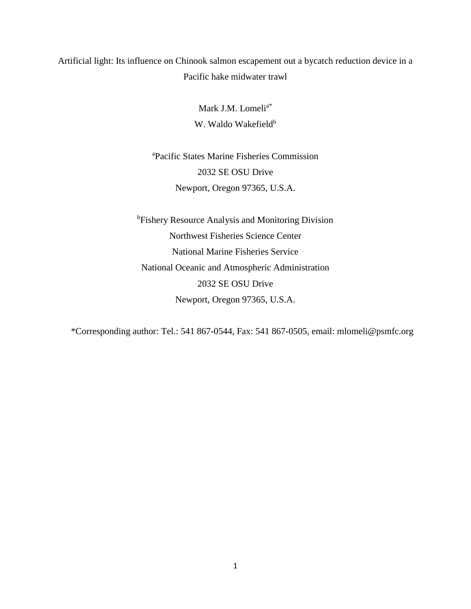# Artificial light: Its influence on Chinook salmon escapement out a bycatch reduction device in a Pacific hake midwater trawl

Mark J.M. Lomeli<sup>a\*</sup> W. Waldo Wakefield<sup>b</sup>

<sup>a</sup>Pacific States Marine Fisheries Commission 2032 SE OSU Drive Newport, Oregon 97365, U.S.A.

**bFishery Resource Analysis and Monitoring Division** Northwest Fisheries Science Center National Marine Fisheries Service National Oceanic and Atmospheric Administration 2032 SE OSU Drive Newport, Oregon 97365, U.S.A.

\*Corresponding author: Tel.: 541 867-0544, Fax: 541 867-0505, email: [mlomeli@psmfc.org](mailto:mlomeli@psmfc.org)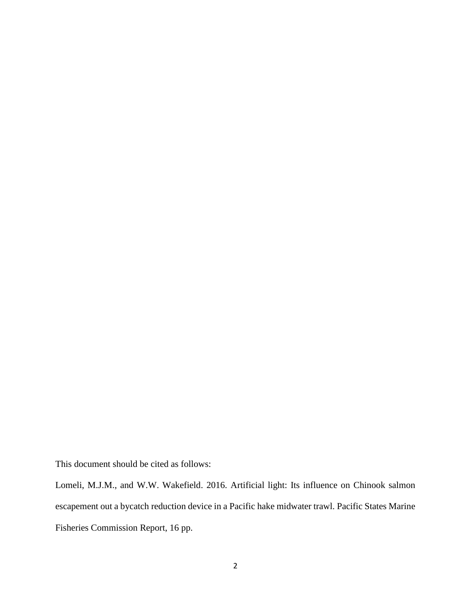This document should be cited as follows:

Lomeli, M.J.M., and W.W. Wakefield. 2016. Artificial light: Its influence on Chinook salmon escapement out a bycatch reduction device in a Pacific hake midwater trawl. Pacific States Marine Fisheries Commission Report, 16 pp.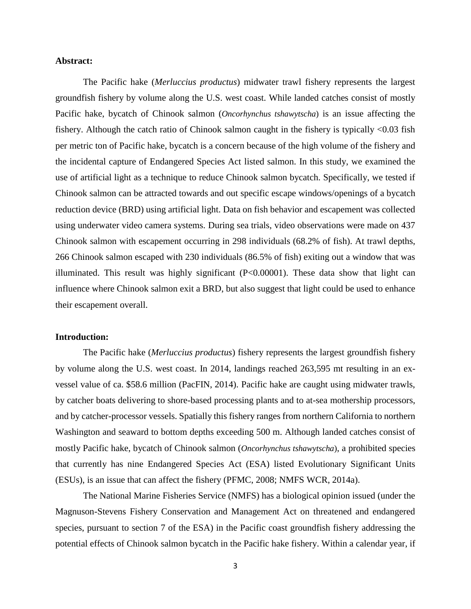## **Abstract:**

The Pacific hake (*Merluccius productus*) midwater trawl fishery represents the largest groundfish fishery by volume along the U.S. west coast. While landed catches consist of mostly Pacific hake, bycatch of Chinook salmon (*Oncorhynchus tshawytscha*) is an issue affecting the fishery. Although the catch ratio of Chinook salmon caught in the fishery is typically <0.03 fish per metric ton of Pacific hake, bycatch is a concern because of the high volume of the fishery and the incidental capture of Endangered Species Act listed salmon. In this study, we examined the use of artificial light as a technique to reduce Chinook salmon bycatch. Specifically, we tested if Chinook salmon can be attracted towards and out specific escape windows/openings of a bycatch reduction device (BRD) using artificial light. Data on fish behavior and escapement was collected using underwater video camera systems. During sea trials, video observations were made on 437 Chinook salmon with escapement occurring in 298 individuals (68.2% of fish). At trawl depths, 266 Chinook salmon escaped with 230 individuals (86.5% of fish) exiting out a window that was illuminated. This result was highly significant (P<0.00001). These data show that light can influence where Chinook salmon exit a BRD, but also suggest that light could be used to enhance their escapement overall.

### **Introduction:**

The Pacific hake (*Merluccius productus*) fishery represents the largest groundfish fishery by volume along the U.S. west coast. In 2014, landings reached 263,595 mt resulting in an exvessel value of ca. \$58.6 million (PacFIN, 2014). Pacific hake are caught using midwater trawls, by catcher boats delivering to shore-based processing plants and to at-sea mothership processors, and by catcher-processor vessels. Spatially this fishery ranges from northern California to northern Washington and seaward to bottom depths exceeding 500 m. Although landed catches consist of mostly Pacific hake, bycatch of Chinook salmon (*Oncorhynchus tshawytscha*), a prohibited species that currently has nine Endangered Species Act (ESA) listed Evolutionary Significant Units (ESUs), is an issue that can affect the fishery (PFMC, 2008; NMFS WCR, 2014a).

The National Marine Fisheries Service (NMFS) has a biological opinion issued (under the Magnuson-Stevens Fishery Conservation and Management Act on threatened and endangered species, pursuant to section 7 of the ESA) in the Pacific coast groundfish fishery addressing the potential effects of Chinook salmon bycatch in the Pacific hake fishery. Within a calendar year, if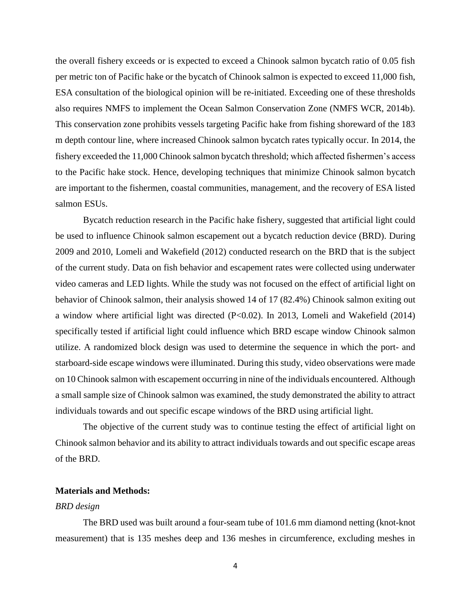the overall fishery exceeds or is expected to exceed a Chinook salmon bycatch ratio of 0.05 fish per metric ton of Pacific hake or the bycatch of Chinook salmon is expected to exceed 11,000 fish, ESA consultation of the biological opinion will be re-initiated. Exceeding one of these thresholds also requires NMFS to implement the Ocean Salmon Conservation Zone (NMFS WCR, 2014b). This conservation zone prohibits vessels targeting Pacific hake from fishing shoreward of the 183 m depth contour line, where increased Chinook salmon bycatch rates typically occur. In 2014, the fishery exceeded the 11,000 Chinook salmon bycatch threshold; which affected fishermen's access to the Pacific hake stock. Hence, developing techniques that minimize Chinook salmon bycatch are important to the fishermen, coastal communities, management, and the recovery of ESA listed salmon ESUs.

Bycatch reduction research in the Pacific hake fishery, suggested that artificial light could be used to influence Chinook salmon escapement out a bycatch reduction device (BRD). During 2009 and 2010, Lomeli and Wakefield (2012) conducted research on the BRD that is the subject of the current study. Data on fish behavior and escapement rates were collected using underwater video cameras and LED lights. While the study was not focused on the effect of artificial light on behavior of Chinook salmon, their analysis showed 14 of 17 (82.4%) Chinook salmon exiting out a window where artificial light was directed (P<0.02). In 2013, Lomeli and Wakefield (2014) specifically tested if artificial light could influence which BRD escape window Chinook salmon utilize. A randomized block design was used to determine the sequence in which the port- and starboard-side escape windows were illuminated. During this study, video observations were made on 10 Chinook salmon with escapement occurring in nine of the individuals encountered. Although a small sample size of Chinook salmon was examined, the study demonstrated the ability to attract individuals towards and out specific escape windows of the BRD using artificial light.

The objective of the current study was to continue testing the effect of artificial light on Chinook salmon behavior and its ability to attract individuals towards and out specific escape areas of the BRD.

# **Materials and Methods:**

#### *BRD design*

The BRD used was built around a four-seam tube of 101.6 mm diamond netting (knot-knot measurement) that is 135 meshes deep and 136 meshes in circumference, excluding meshes in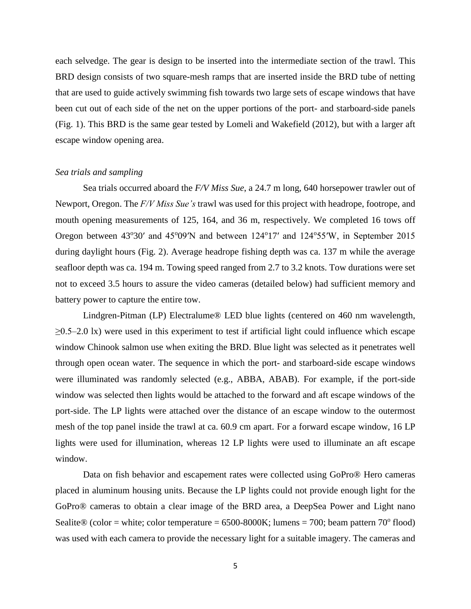each selvedge. The gear is design to be inserted into the intermediate section of the trawl. This BRD design consists of two square-mesh ramps that are inserted inside the BRD tube of netting that are used to guide actively swimming fish towards two large sets of escape windows that have been cut out of each side of the net on the upper portions of the port- and starboard-side panels (Fig. 1). This BRD is the same gear tested by Lomeli and Wakefield (2012), but with a larger aft escape window opening area.

#### *Sea trials and sampling*

Sea trials occurred aboard the *F/V Miss Sue*, a 24.7 m long, 640 horsepower trawler out of Newport, Oregon. The *F/V Miss Sue's* trawl was used for this project with headrope, footrope, and mouth opening measurements of 125, 164, and 36 m, respectively. We completed 16 tows off Oregon between 43°30' and 45°09'N and between 124°17' and 124°55'W, in September 2015 during daylight hours (Fig. 2). Average headrope fishing depth was ca. 137 m while the average seafloor depth was ca. 194 m. Towing speed ranged from 2.7 to 3.2 knots. Tow durations were set not to exceed 3.5 hours to assure the video cameras (detailed below) had sufficient memory and battery power to capture the entire tow.

Lindgren-Pitman (LP) Electralume® LED blue lights (centered on 460 nm wavelength,  $\geq$ 0.5–2.0 lx) were used in this experiment to test if artificial light could influence which escape window Chinook salmon use when exiting the BRD. Blue light was selected as it penetrates well through open ocean water. The sequence in which the port- and starboard-side escape windows were illuminated was randomly selected (e.g., ABBA, ABAB). For example, if the port-side window was selected then lights would be attached to the forward and aft escape windows of the port-side. The LP lights were attached over the distance of an escape window to the outermost mesh of the top panel inside the trawl at ca. 60.9 cm apart. For a forward escape window, 16 LP lights were used for illumination, whereas 12 LP lights were used to illuminate an aft escape window.

Data on fish behavior and escapement rates were collected using GoPro® Hero cameras placed in aluminum housing units. Because the LP lights could not provide enough light for the GoPro® cameras to obtain a clear image of the BRD area, a DeepSea Power and Light nano Sealite® (color = white; color temperature =  $6500$ -8000K; lumens = 700; beam pattern 70° flood) was used with each camera to provide the necessary light for a suitable imagery. The cameras and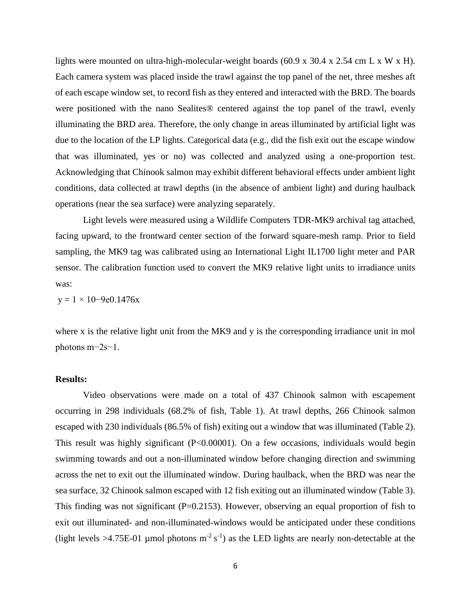lights were mounted on ultra-high-molecular-weight boards (60.9 x 30.4 x 2.54 cm L x W x H). Each camera system was placed inside the trawl against the top panel of the net, three meshes aft of each escape window set, to record fish as they entered and interacted with the BRD. The boards were positioned with the nano Sealites® centered against the top panel of the trawl, evenly illuminating the BRD area. Therefore, the only change in areas illuminated by artificial light was due to the location of the LP lights. Categorical data (e.g., did the fish exit out the escape window that was illuminated, yes or no) was collected and analyzed using a one-proportion test. Acknowledging that Chinook salmon may exhibit different behavioral effects under ambient light conditions, data collected at trawl depths (in the absence of ambient light) and during haulback operations (near the sea surface) were analyzing separately.

Light levels were measured using a Wildlife Computers TDR-MK9 archival tag attached, facing upward, to the frontward center section of the forward square-mesh ramp. Prior to field sampling, the MK9 tag was calibrated using an International Light IL1700 light meter and PAR sensor. The calibration function used to convert the MK9 relative light units to irradiance units was:

 $y = 1 \times 10 - 9e0.1476x$ 

where x is the relative light unit from the MK9 and y is the corresponding irradiance unit in mol photons m−2s−1.

# **Results:**

Video observations were made on a total of 437 Chinook salmon with escapement occurring in 298 individuals (68.2% of fish, Table 1). At trawl depths, 266 Chinook salmon escaped with 230 individuals (86.5% of fish) exiting out a window that was illuminated (Table 2). This result was highly significant (P<0.00001). On a few occasions, individuals would begin swimming towards and out a non-illuminated window before changing direction and swimming across the net to exit out the illuminated window. During haulback, when the BRD was near the sea surface, 32 Chinook salmon escaped with 12 fish exiting out an illuminated window (Table 3). This finding was not significant ( $P=0.2153$ ). However, observing an equal proportion of fish to exit out illuminated- and non-illuminated-windows would be anticipated under these conditions (light levels >4.75E-01 µmol photons  $m^{-2} s^{-1}$ ) as the LED lights are nearly non-detectable at the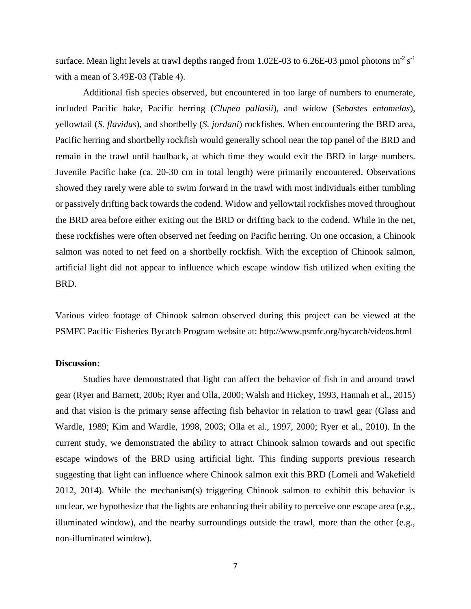surface. Mean light levels at trawl depths ranged from 1.02E-03 to 6.26E-03 µmol photons  $m^{-2} s^{-1}$ with a mean of 3.49E-03 (Table 4).

Additional fish species observed, but encountered in too large of numbers to enumerate, included Pacific hake, Pacific herring (*Clupea pallasii*), and widow (*Sebastes entomelas*), yellowtail (*S. flavidus*), and shortbelly (*S. jordani*) rockfishes. When encountering the BRD area, Pacific herring and shortbelly rockfish would generally school near the top panel of the BRD and remain in the trawl until haulback, at which time they would exit the BRD in large numbers. Juvenile Pacific hake (ca. 20-30 cm in total length) were primarily encountered. Observations showed they rarely were able to swim forward in the trawl with most individuals either tumbling or passively drifting back towards the codend. Widow and yellowtail rockfishes moved throughout the BRD area before either exiting out the BRD or drifting back to the codend. While in the net, these rockfishes were often observed net feeding on Pacific herring. On one occasion, a Chinook salmon was noted to net feed on a shortbelly rockfish. With the exception of Chinook salmon, artificial light did not appear to influence which escape window fish utilized when exiting the BRD.

Various video footage of Chinook salmon observed during this project can be viewed at the PSMFC Pacific Fisheries Bycatch Program website at: <http://www.psmfc.org/bycatch/videos.html>

# **Discussion:**

Studies have demonstrated that light can affect the behavior of fish in and around trawl gear (Ryer and Barnett, 2006; Ryer and Olla, 2000; Walsh and Hickey, 1993, Hannah et al., 2015) and that vision is the primary sense affecting fish behavior in relation to trawl gear (Glass and Wardle, 1989; Kim and Wardle, 1998, 2003; Olla et al., 1997, 2000; Ryer et al., 2010). In the current study, we demonstrated the ability to attract Chinook salmon towards and out specific escape windows of the BRD using artificial light. This finding supports previous research suggesting that light can influence where Chinook salmon exit this BRD (Lomeli and Wakefield 2012, 2014). While the mechanism(s) triggering Chinook salmon to exhibit this behavior is unclear, we hypothesize that the lights are enhancing their ability to perceive one escape area (e.g., illuminated window), and the nearby surroundings outside the trawl, more than the other (e.g., non-illuminated window).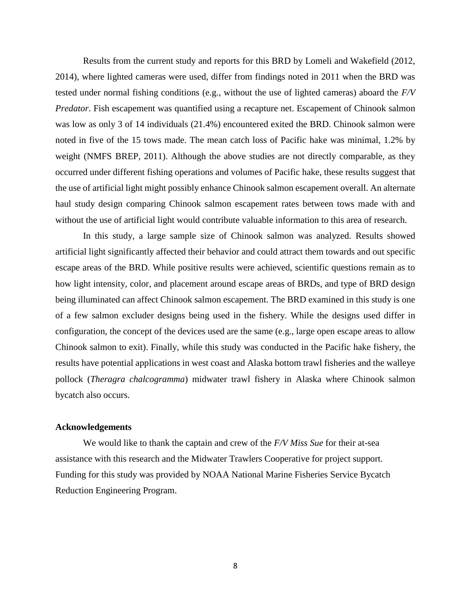Results from the current study and reports for this BRD by Lomeli and Wakefield (2012, 2014), where lighted cameras were used, differ from findings noted in 2011 when the BRD was tested under normal fishing conditions (e.g., without the use of lighted cameras) aboard the *F/V Predator*. Fish escapement was quantified using a recapture net. Escapement of Chinook salmon was low as only 3 of 14 individuals (21.4%) encountered exited the BRD. Chinook salmon were noted in five of the 15 tows made. The mean catch loss of Pacific hake was minimal, 1.2% by weight (NMFS BREP, 2011). Although the above studies are not directly comparable, as they occurred under different fishing operations and volumes of Pacific hake, these results suggest that the use of artificial light might possibly enhance Chinook salmon escapement overall. An alternate haul study design comparing Chinook salmon escapement rates between tows made with and without the use of artificial light would contribute valuable information to this area of research.

In this study, a large sample size of Chinook salmon was analyzed. Results showed artificial light significantly affected their behavior and could attract them towards and out specific escape areas of the BRD. While positive results were achieved, scientific questions remain as to how light intensity, color, and placement around escape areas of BRDs, and type of BRD design being illuminated can affect Chinook salmon escapement. The BRD examined in this study is one of a few salmon excluder designs being used in the fishery. While the designs used differ in configuration, the concept of the devices used are the same (e.g., large open escape areas to allow Chinook salmon to exit). Finally, while this study was conducted in the Pacific hake fishery, the results have potential applications in west coast and Alaska bottom trawl fisheries and the walleye pollock (*Theragra chalcogramma*) midwater trawl fishery in Alaska where Chinook salmon bycatch also occurs.

# **Acknowledgements**

We would like to thank the captain and crew of the *F/V Miss Sue* for their at-sea assistance with this research and the Midwater Trawlers Cooperative for project support. Funding for this study was provided by NOAA National Marine Fisheries Service Bycatch Reduction Engineering Program.

8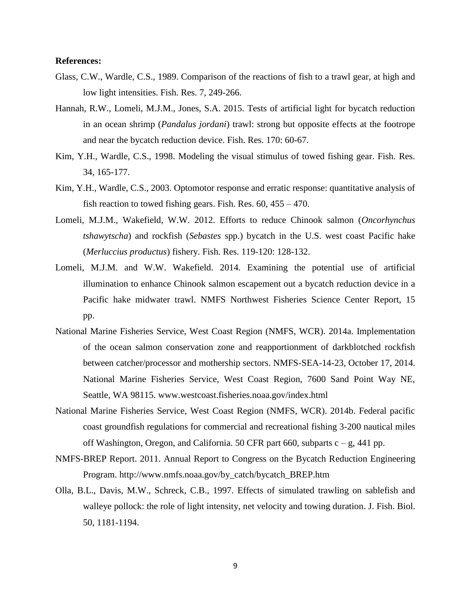## **References:**

- Glass, C.W., Wardle, C.S., 1989. Comparison of the reactions of fish to a trawl gear, at high and low light intensities. Fish. Res. 7, 249-266.
- Hannah, R.W., Lomeli, M.J.M., Jones, S.A. 2015. Tests of artificial light for bycatch reduction in an ocean shrimp (*Pandalus jordani*) trawl: strong but opposite effects at the footrope and near the bycatch reduction device. Fish. Res. 170: 60-67.
- Kim, Y.H., Wardle, C.S., 1998. Modeling the visual stimulus of towed fishing gear. Fish. Res. 34, 165-177.
- Kim, Y.H., Wardle, C.S., 2003. Optomotor response and erratic response: quantitative analysis of fish reaction to towed fishing gears. Fish. Res.  $60$ ,  $455 - 470$ .
- Lomeli, M.J.M., Wakefield, W.W. 2012. Efforts to reduce Chinook salmon (*Oncorhynchus tshawytscha*) and rockfish (*Sebastes* spp.) bycatch in the U.S. west coast Pacific hake (*Merluccius productus*) fishery. Fish. Res. 119-120: 128-132.
- Lomeli, M.J.M. and W.W. Wakefield. 2014. Examining the potential use of artificial illumination to enhance Chinook salmon escapement out a bycatch reduction device in a Pacific hake midwater trawl. NMFS Northwest Fisheries Science Center Report, 15 pp.
- National Marine Fisheries Service, West Coast Region (NMFS, WCR). 2014a. Implementation of the ocean salmon conservation zone and reapportionment of darkblotched rockfish between catcher/processor and mothership sectors. NMFS-SEA-14-23, October 17, 2014. National Marine Fisheries Service, West Coast Region, 7600 Sand Point Way NE, Seattle, WA 98115. www.westcoast.fisheries.noaa.gov/index.html
- National Marine Fisheries Service, West Coast Region (NMFS, WCR). 2014b. Federal pacific coast groundfish regulations for commercial and recreational fishing 3-200 nautical miles off Washington, Oregon, and California. 50 CFR part 660, subparts  $c - g$ , 441 pp.
- NMFS-BREP Report. 2011. Annual Report to Congress on the Bycatch Reduction Engineering Program. [http://www.nmfs.noaa.gov/by\\_catch/bycatch\\_BREP.htm](http://www.nmfs.noaa.gov/by_catch/bycatch_BREP.htm)
- Olla, B.L., Davis, M.W., Schreck, C.B., 1997. Effects of simulated trawling on sablefish and walleye pollock: the role of light intensity, net velocity and towing duration. J. Fish. Biol. 50, 1181-1194.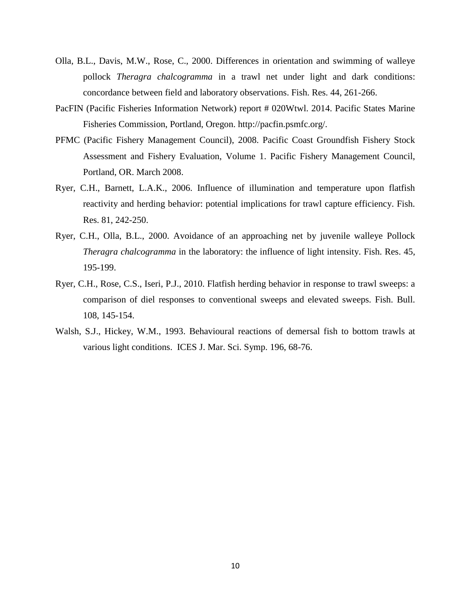- Olla, B.L., Davis, M.W., Rose, C., 2000. Differences in orientation and swimming of walleye pollock *Theragra chalcogramma* in a trawl net under light and dark conditions: concordance between field and laboratory observations. Fish. Res. 44, 261-266.
- PacFIN (Pacific Fisheries Information Network) report # 020Wtwl. 2014. Pacific States Marine Fisheries Commission, Portland, Oregon. http://pacfin.psmfc.org/.
- PFMC (Pacific Fishery Management Council), 2008. Pacific Coast Groundfish Fishery Stock Assessment and Fishery Evaluation, Volume 1. Pacific Fishery Management Council, Portland, OR. March 2008.
- Ryer, C.H., Barnett, L.A.K., 2006. Influence of illumination and temperature upon flatfish reactivity and herding behavior: potential implications for trawl capture efficiency. Fish. Res. 81, 242-250.
- Ryer, C.H., Olla, B.L., 2000. Avoidance of an approaching net by juvenile walleye Pollock *Theragra chalcogramma* in the laboratory: the influence of light intensity. Fish. Res. 45, 195-199.
- Ryer, C.H., Rose, C.S., Iseri, P.J., 2010. Flatfish herding behavior in response to trawl sweeps: a comparison of diel responses to conventional sweeps and elevated sweeps. Fish. Bull. 108, 145-154.
- Walsh, S.J., Hickey, W.M., 1993. Behavioural reactions of demersal fish to bottom trawls at various light conditions. ICES J. Mar. Sci. Symp. 196, 68-76.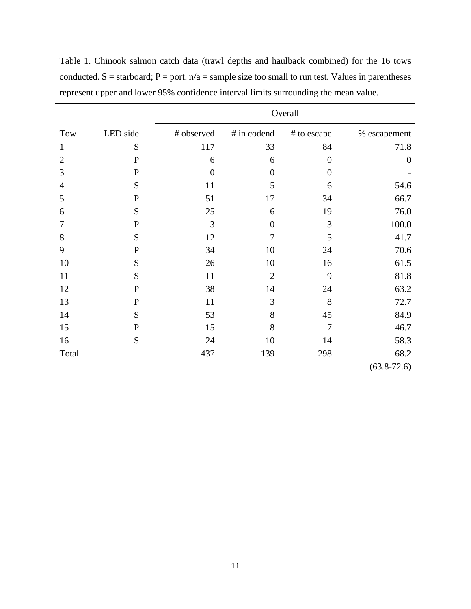|                |             | Overall          |                  |                  |                  |
|----------------|-------------|------------------|------------------|------------------|------------------|
| Tow            | LED side    | # observed       | # in codend      | # to escape      | % escapement     |
| $\mathbf{1}$   | S           | 117              | 33               | 84               | 71.8             |
| $\overline{2}$ | $\mathbf P$ | 6                | 6                | $\overline{0}$   | $\boldsymbol{0}$ |
| 3              | $\mathbf P$ | $\boldsymbol{0}$ | $\boldsymbol{0}$ | $\boldsymbol{0}$ |                  |
| $\overline{4}$ | S           | 11               | 5                | 6                | 54.6             |
| 5              | $\mathbf P$ | 51               | 17               | 34               | 66.7             |
| 6              | S           | 25               | 6                | 19               | 76.0             |
| 7              | $\mathbf P$ | 3                | $\overline{0}$   | 3                | 100.0            |
| 8              | S           | 12               | $\overline{7}$   | 5                | 41.7             |
| 9              | $\mathbf P$ | 34               | 10               | 24               | 70.6             |
| 10             | S           | 26               | 10               | 16               | 61.5             |
| 11             | S           | 11               | $\mathbf{2}$     | 9                | 81.8             |
| 12             | $\mathbf P$ | 38               | 14               | 24               | 63.2             |
| 13             | $\mathbf P$ | 11               | 3                | 8                | 72.7             |
| 14             | S           | 53               | 8                | 45               | 84.9             |
| 15             | $\mathbf P$ | 15               | 8                | $\overline{7}$   | 46.7             |
| 16             | S           | 24               | 10               | 14               | 58.3             |
| Total          |             | 437              | 139              | 298              | 68.2             |
|                |             |                  |                  |                  | $(63.8 - 72.6)$  |

Table 1. Chinook salmon catch data (trawl depths and haulback combined) for the 16 tows conducted.  $S =$  starboard;  $P =$  port.  $n/a =$  sample size too small to run test. Values in parentheses represent upper and lower 95% confidence interval limits surrounding the mean value.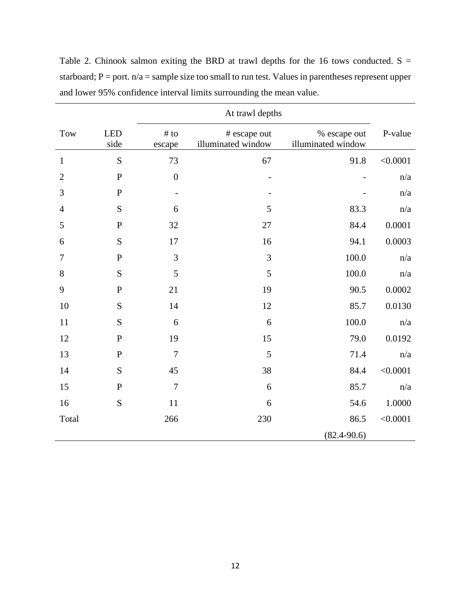|                |                    | At trawl depths   |                                    |                                    |          |
|----------------|--------------------|-------------------|------------------------------------|------------------------------------|----------|
| <b>Tow</b>     | <b>LED</b><br>side | # to<br>escape    | # escape out<br>illuminated window | % escape out<br>illuminated window | P-value  |
| $\mathbf{1}$   | ${\bf S}$          | 73                | 67                                 | 91.8                               | < 0.0001 |
| $\overline{2}$ | ${\bf P}$          | $\overline{0}$    |                                    |                                    | n/a      |
| 3              | ${\bf P}$          | $\qquad \qquad -$ |                                    |                                    | n/a      |
| $\overline{4}$ | S                  | 6                 | 5                                  | 83.3                               | n/a      |
| 5              | ${\bf P}$          | 32                | 27                                 | 84.4                               | 0.0001   |
| 6              | S                  | 17                | 16                                 | 94.1                               | 0.0003   |
| $\tau$         | ${\bf P}$          | 3                 | 3                                  | 100.0                              | n/a      |
| 8              | S                  | 5                 | 5                                  | 100.0                              | n/a      |
| 9              | ${\bf P}$          | 21                | 19                                 | 90.5                               | 0.0002   |
| 10             | S                  | 14                | 12                                 | 85.7                               | 0.0130   |
| 11             | S                  | 6                 | 6                                  | 100.0                              | n/a      |
| 12             | ${\bf P}$          | 19                | 15                                 | 79.0                               | 0.0192   |
| 13             | $\mathbf{P}$       | $\overline{7}$    | 5                                  | 71.4                               | n/a      |
| 14             | S                  | 45                | 38                                 | 84.4                               | < 0.0001 |
| 15             | ${\bf P}$          | $\overline{7}$    | 6                                  | 85.7                               | n/a      |
| 16             | S                  | 11                | 6                                  | 54.6                               | 1.0000   |
| Total          |                    | 266               | 230                                | 86.5                               | < 0.0001 |
|                |                    |                   |                                    | $(82.4 - 90.6)$                    |          |

Table 2. Chinook salmon exiting the BRD at trawl depths for the 16 tows conducted.  $S =$ starboard;  $P =$  port.  $n/a =$  sample size too small to run test. Values in parentheses represent upper and lower 95% confidence interval limits surrounding the mean value.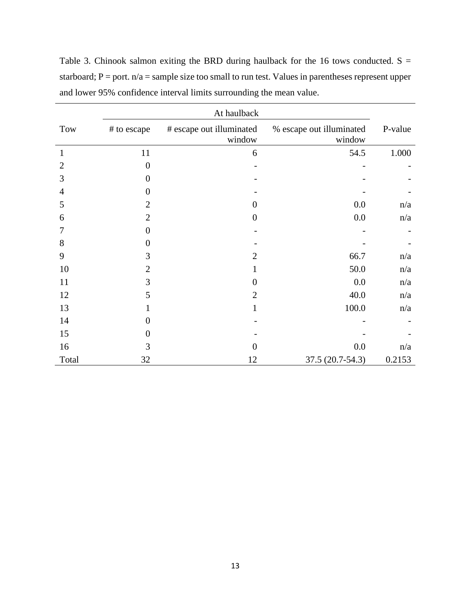|                |                  | At haulback                        |                                    |         |
|----------------|------------------|------------------------------------|------------------------------------|---------|
| Tow            | # to escape      | # escape out illuminated<br>window | % escape out illuminated<br>window | P-value |
| 1              | 11               | 6                                  | 54.5                               | 1.000   |
| $\overline{2}$ | $\overline{0}$   |                                    |                                    |         |
| 3              | $\theta$         |                                    |                                    |         |
| $\overline{4}$ | $\theta$         |                                    |                                    |         |
| 5              | $\overline{2}$   | $\Omega$                           | 0.0                                | n/a     |
| 6              | $\overline{2}$   | $\overline{0}$                     | $0.0\,$                            | n/a     |
| 7              | $\theta$         |                                    |                                    |         |
| 8              | $\theta$         |                                    |                                    |         |
| 9              | 3                | 2                                  | 66.7                               | n/a     |
| 10             | $\overline{2}$   | 1                                  | 50.0                               | n/a     |
| 11             | 3                | $\Omega$                           | 0.0                                | n/a     |
| 12             | 5                | $\overline{2}$                     | 40.0                               | n/a     |
| 13             |                  | 1                                  | 100.0                              | n/a     |
| 14             | $\boldsymbol{0}$ |                                    |                                    |         |
| 15             | $\theta$         |                                    |                                    |         |
| 16             | 3                | $\Omega$                           | 0.0                                | n/a     |
| Total          | 32               | 12                                 | 37.5 (20.7-54.3)                   | 0.2153  |

Table 3. Chinook salmon exiting the BRD during haulback for the 16 tows conducted.  $S =$ starboard;  $P =$  port.  $n/a =$  sample size too small to run test. Values in parentheses represent upper and lower 95% confidence interval limits surrounding the mean value.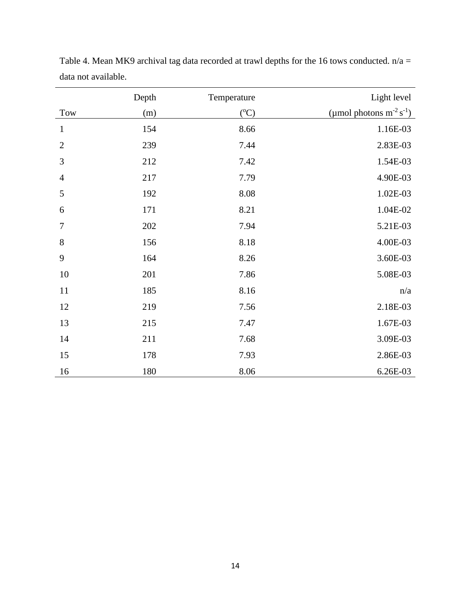|                | Depth | Temperature | Light level                     |
|----------------|-------|-------------|---------------------------------|
| Tow            | (m)   | $({}^oC)$   | (µmol photons $m^{-2} s^{-1}$ ) |
| $\mathbf{1}$   | 154   | 8.66        | 1.16E-03                        |
| $\mathbf{2}$   | 239   | 7.44        | 2.83E-03                        |
| 3              | 212   | 7.42        | 1.54E-03                        |
| $\overline{4}$ | 217   | 7.79        | 4.90E-03                        |
| 5              | 192   | 8.08        | 1.02E-03                        |
| 6              | 171   | 8.21        | 1.04E-02                        |
| $\tau$         | 202   | 7.94        | 5.21E-03                        |
| 8              | 156   | 8.18        | 4.00E-03                        |
| 9              | 164   | 8.26        | 3.60E-03                        |
| 10             | 201   | 7.86        | 5.08E-03                        |
| 11             | 185   | 8.16        | n/a                             |
| 12             | 219   | 7.56        | 2.18E-03                        |
| 13             | 215   | 7.47        | 1.67E-03                        |
| 14             | 211   | 7.68        | 3.09E-03                        |
| 15             | 178   | 7.93        | 2.86E-03                        |
| 16             | 180   | 8.06        | 6.26E-03                        |

Table 4. Mean MK9 archival tag data recorded at trawl depths for the 16 tows conducted.  $n/a =$ data not available.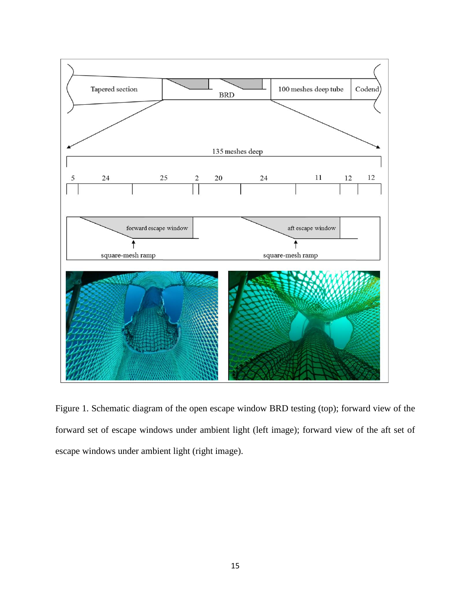

Figure 1. Schematic diagram of the open escape window BRD testing (top); forward view of the forward set of escape windows under ambient light (left image); forward view of the aft set of escape windows under ambient light (right image).